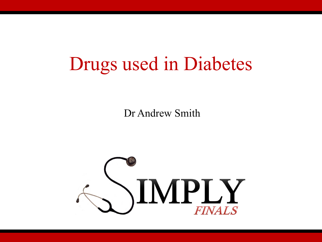#### Drugs used in Diabetes

Dr Andrew Smith

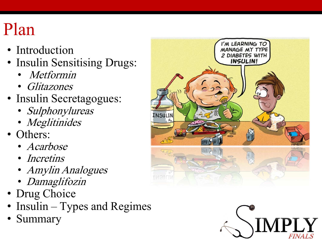#### Plan

- Introduction
- Insulin Sensitising Drugs:
	- Metformin
	- Glitazones
- Insulin Secretagogues:
	- Sulphonylureas
	- Meglitinides
- Others:
	- Acarbose
	- Incretins
	- Amylin Analogues
	- Damaglifozin
- Drug Choice
- Insulin Types and Regimes
- Summary



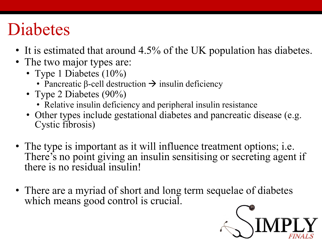#### Diabetes

- It is estimated that around 4.5% of the UK population has diabetes.
- The two major types are:
	- Type 1 Diabetes (10%)
		- Pancreatic β-cell destruction  $\rightarrow$  insulin deficiency
	- Type 2 Diabetes (90%)
		- Relative insulin deficiency and peripheral insulin resistance
	- Other types include gestational diabetes and pancreatic disease (e.g. Cystic fibrosis)
- The type is important as it will influence treatment options; i.e. There's no point giving an insulin sensitising or secreting agent if there is no residual insulin!
- There are a myriad of short and long term sequelae of diabetes which means good control is crucial.

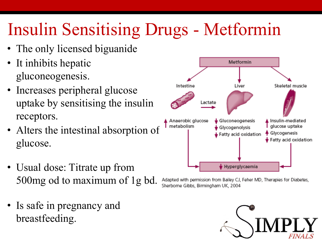# Insulin Sensitising Drugs - Metformin

- The only licensed biguanide
- It inhibits hepatic gluconeogenesis.
- Increases peripheral glucose uptake by sensitising the insulin receptors.
- Alters the intestinal absorption of glucose.
- Usual dose: Titrate up from 500mg od to maximum of 1g bd.
- Is safe in pregnancy and breastfeeding.



Adapted with permission from Bailey CJ, Feher MD, Therapies for Diabetes, Sherborne Gibbs, Birmingham UK, 2004

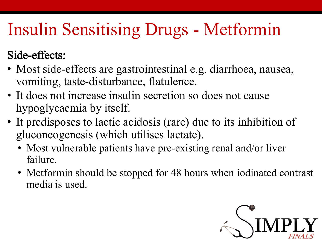# Insulin Sensitising Drugs - Metformin

#### Side-effects:

- Most side-effects are gastrointestinal e.g. diarrhoea, nausea, vomiting, taste-disturbance, flatulence.
- It does not increase insulin secretion so does not cause hypoglycaemia by itself.
- It predisposes to lactic acidosis (rare) due to its inhibition of gluconeogenesis (which utilises lactate).
	- Most vulnerable patients have pre-existing renal and/or liver failure.
	- Metformin should be stopped for 48 hours when iodinated contrast media is used.

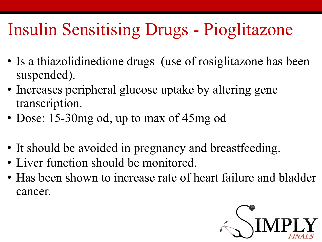## Insulin Sensitising Drugs - Pioglitazone

- Is a thiazolidinedione drugs (use of rosiglitazone has been suspended).
- Increases peripheral glucose uptake by altering gene transcription.
- Dose: 15-30mg od, up to max of 45mg od
- It should be avoided in pregnancy and breastfeeding.
- Liver function should be monitored.
- Has been shown to increase rate of heart failure and bladder cancer.

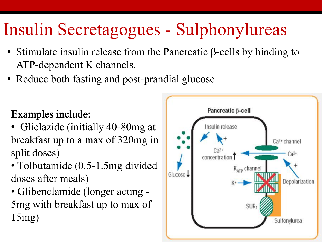# Insulin Secretagogues - Sulphonylureas

- Stimulate insulin release from the Pancreatic β-cells by binding to ATP-dependent K channels.
- Reduce both fasting and post-prandial glucose

#### Examples include:

- Gliclazide (initially 40-80mg at breakfast up to a max of 320mg in split doses)
- Tolbutamide (0.5-1.5mg divided) doses after meals)
- Glibenclamide (longer acting 5mg with breakfast up to max of 15mg)

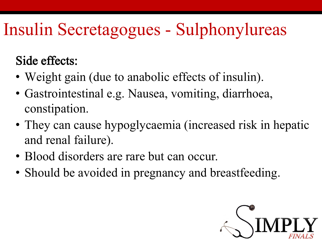# Insulin Secretagogues - Sulphonylureas

Side effects:

- Weight gain (due to anabolic effects of insulin).
- Gastrointestinal e.g. Nausea, vomiting, diarrhoea, constipation.
- They can cause hypoglycaemia (increased risk in hepatic and renal failure).
- Blood disorders are rare but can occur.
- Should be avoided in pregnancy and breastfeeding.

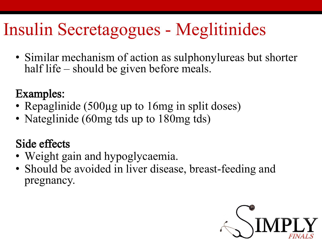## Insulin Secretagogues - Meglitinides

• Similar mechanism of action as sulphonylureas but shorter half life – should be given before meals.

#### Examples:

- Repaglinide (500µg up to 16mg in split doses)
- Nateglinide (60mg tds up to 180mg tds)

#### Side effects

- Weight gain and hypoglycaemia.
- Should be avoided in liver disease, breast-feeding and pregnancy.

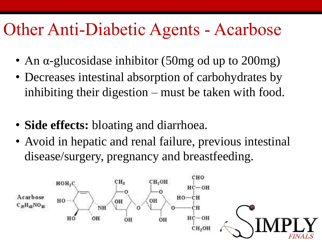#### Other Anti-Diabetic Agents - Acarbose

- An α-glucosidase inhibitor (50mg od up to 200mg)
- Decreases intestinal absorption of carbohydrates by inhibiting their digestion – must be taken with food.
- **Side effects:** bloating and diarrhoea.
- Avoid in hepatic and renal failure, previous intestinal disease/surgery, pregnancy and breastfeeding.

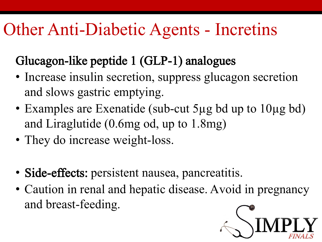## Other Anti-Diabetic Agents - Incretins

#### Glucagon-like peptide 1 (GLP-1) analogues

- Increase insulin secretion, suppress glucagon secretion and slows gastric emptying.
- Examples are Exenatide (sub-cut 5µg bd up to 10µg bd) and Liraglutide (0.6mg od, up to 1.8mg)
- They do increase weight-loss.
- Side-effects: persistent nausea, pancreatitis.
- Caution in renal and hepatic disease. Avoid in pregnancy and breast-feeding.

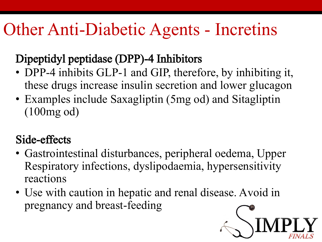#### Other Anti-Diabetic Agents - Incretins

#### Dipeptidyl peptidase (DPP)-4 Inhibitors

- DPP-4 inhibits GLP-1 and GIP, therefore, by inhibiting it, these drugs increase insulin secretion and lower glucagon
- Examples include Saxagliptin (5mg od) and Sitagliptin (100mg od)

#### Side-effects

- Gastrointestinal disturbances, peripheral oedema, Upper Respiratory infections, dyslipodaemia, hypersensitivity reactions
- Use with caution in hepatic and renal disease. Avoid in pregnancy and breast-feeding

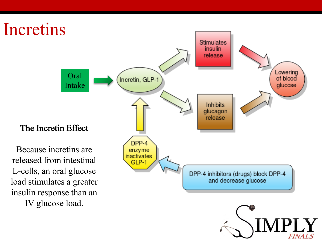

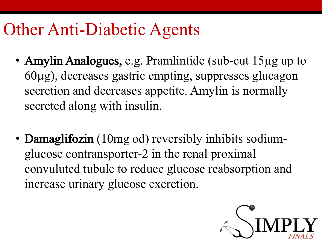#### Other Anti-Diabetic Agents

- Amylin Analogues, e.g. Pramlintide (sub-cut 15µg up to 60µg), decreases gastric empting, suppresses glucagon secretion and decreases appetite. Amylin is normally secreted along with insulin.
- **Damaglifozin** (10mg od) reversibly inhibits sodiumglucose contransporter-2 in the renal proximal convuluted tubule to reduce glucose reabsorption and increase urinary glucose excretion.

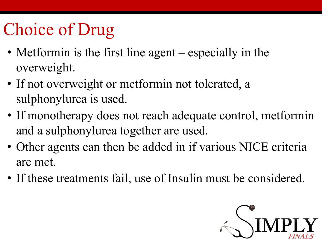# Choice of Drug

- Metformin is the first line agent especially in the overweight.
- If not overweight or metformin not tolerated, a sulphonylurea is used.
- If monotherapy does not reach adequate control, metformin and a sulphonylurea together are used.
- Other agents can then be added in if various NICE criteria are met.
- If these treatments fail, use of Insulin must be considered.

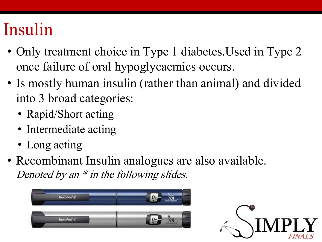#### Insulin

- Only treatment choice in Type 1 diabetes. Used in Type 2 once failure of oral hypoglycaemics occurs.
- Is mostly human insulin (rather than animal) and divided into 3 broad categories:
	- Rapid/Short acting
	- Intermediate acting
	- Long acting
- Recombinant Insulin analogues are also available. Denoted by an  $*$  in the following slides.



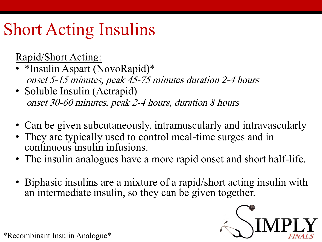# Short Acting Insulins

Rapid/Short Acting:

- \*Insulin Aspart (NovoRapid)\* onset 5-15 minutes, peak 45-75 minutes duration 2-4 hours
- Soluble Insulin (Actrapid) onset 30-60 minutes, peak 2-4 hours, duration 8 hours
- Can be given subcutaneously, intramuscularly and intravascularly
- They are typically used to control meal-time surges and in continuous insulin infusions.
- The insulin analogues have a more rapid onset and short half-life.
- Biphasic insulins are a mixture of a rapid/short acting insulin with an intermediate insulin, so they can be given together.



\*Recombinant Insulin Analogue\*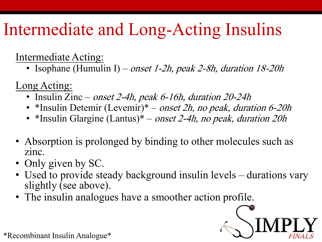# Intermediate and Long-Acting Insulins

Intermediate Acting:

• Isophane (Humulin I) – onset 1-2h, peak 2-8h, duration 18-20h

Long Acting:

- Insulin Zinc *onset 2-4h, peak 6-16h, duration 20-24h*
- \*Insulin Detemir (Levemir)\* onset 2h, no peak, duration 6-20h
- \*Insulin Glargine (Lantus)\* onset 2-4h, no peak, duration 20h
- Absorption is prolonged by binding to other molecules such as zinc.
- Only given by SC.
- Used to provide steady background insulin levels durations vary slightly (see above).
- The insulin analogues have a smoother action profile.



\*Recombinant Insulin Analogue\*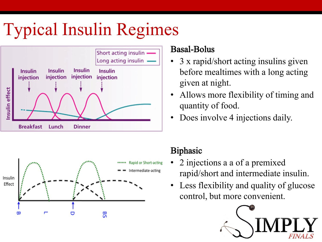# Typical Insulin Regimes





#### Basal-Bolus

- 3 x rapid/short acting insulins given before mealtimes with a long acting given at night.
- Allows more flexibility of timing and quantity of food.
- Does involve 4 injections daily.

#### Biphasic

- 2 injections a a of a premixed rapid/short and intermediate insulin.
- Less flexibility and quality of glucose control, but more convenient.

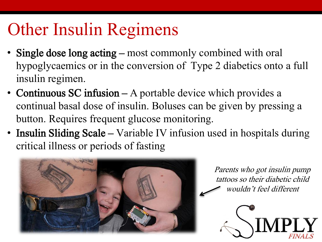## Other Insulin Regimens

- Single dose long acting most commonly combined with oral hypoglycaemics or in the conversion of Type 2 diabetics onto a full insulin regimen.
- Continuous SC infusion A portable device which provides a continual basal dose of insulin. Boluses can be given by pressing a button. Requires frequent glucose monitoring.
- Insulin Sliding Scale Variable IV infusion used in hospitals during critical illness or periods of fasting



Parents who got insulin pump tattoos so their diabetic child wouldn't feel different

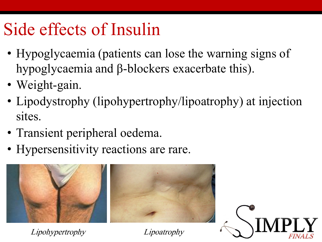#### Side effects of Insulin

- Hypoglycaemia (patients can lose the warning signs of hypoglycaemia and β-blockers exacerbate this).
- Weight-gain.
- Lipodystrophy (lipohypertrophy/lipoatrophy) at injection sites.
- Transient peripheral oedema.
- Hypersensitivity reactions are rare.



Lipohypertrophy Lipoatrophy

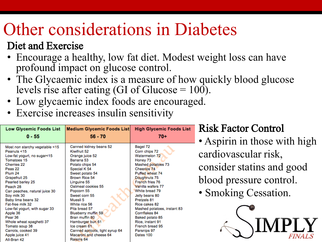#### Other considerations in Diabetes

#### Diet and Exercise

- Encourage a healthy, low fat diet. Modest weight loss can have profound impact on glucose control.
- The Glycaemic index is a measure of how quickly blood glucose levels rise after eating (GI of Glucose  $= 100$ ).
- Low glycaemic index foods are encouraged.
- Exercise increases insulin sensitivity

| <b>Low Glycemic Foods List</b>             | <b>Medium Glycemic Foods List</b>               | <b>High Glycemic Foods List</b>              | <b>Risk Factor Control</b>   |
|--------------------------------------------|-------------------------------------------------|----------------------------------------------|------------------------------|
| $0 - 55$                                   | $56 - 70$                                       | $70+$                                        | • Aspirin in those with high |
| Most non starchy vegetable <15             | Canned kidney beans 52                          | Bagel 72                                     |                              |
| Peanuts <15<br>Low-fat yogurt, no sugar<15 | Kiwifruit 52<br>Orange juice 52                 | Corn chips 72<br>Watermelon 72               | cardiovascular risk,         |
| Tomatoes 15                                | Banana 53                                       | Honey 73                                     |                              |
| <b>Cherries 22</b><br>Peas <sub>22</sub>   | Potato chips 54<br>Special K 54                 | Mashed potatoes 73<br>Cheerios 74            | consider statins and good    |
| Plum 24                                    | Sweet potato 54                                 | Puffed wheat 74                              |                              |
| Grapefruit 25                              | Brown Rice 54                                   | Doughnuts 75<br>French fries 76              | blood pressure control.      |
| Pearled barley 25<br>Peach 28              | Linguine 55<br>Oatmeal cookies 55               | Vanilla wafers 77                            |                              |
| Can peaches, natural juice 30              | Popcorn 55                                      | White bread 79                               | · Smoking Cessation.         |
| Soy milk 30<br>Baby lima beans 32          | Sweet corn 55<br>Muesli 5                       | Jelly beans 80<br>Pretzels 81                |                              |
| Fat-free milk 32                           | White rice 56                                   | Rice cakes 82                                |                              |
| Low-fat yogurt, with sugar 33              | Pita bread 57                                   | Mashed potatoes, instant 83<br>Cornflakes 84 |                              |
| Apple 36<br>Pear 36                        | Blueberry muffin 59<br>Bran muffin 60           | Baked potato 85                              |                              |
| Whole wheat spaghetti 37                   | Hamburger bun 61                                | Rice, instant 91                             |                              |
| Tomato soup 38<br>Carrots, cooked 39       | Ice cream 61<br>Canned apricots, light syrup 64 | French bread 95<br>Parsnips 97               | IMPLY                        |
| Apple juice 41                             | Macaroni and cheese 64                          | Dates 100                                    | <b>FINALS</b>                |
| All-Bran 42                                | Raisins 64                                      |                                              |                              |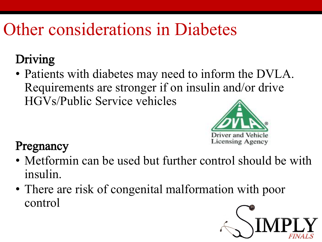### Other considerations in Diabetes

#### Driving

• Patients with diabetes may need to inform the DVLA. Requirements are stronger if on insulin and/or drive HGVs/Public Service vehicles



#### Pregnancy

- Metformin can be used but further control should be with insulin.
- There are risk of congenital malformation with poor control

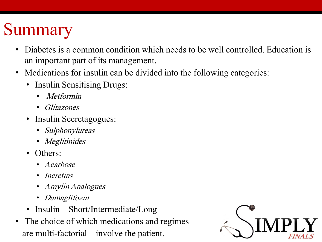# Summary

- Diabetes is a common condition which needs to be well controlled. Education is an important part of its management.
- Medications for insulin can be divided into the following categories:
	- Insulin Sensitising Drugs:
		- Metformin
		- Glitazones
	- Insulin Secretagogues:
		- Sulphonylureas
		- Meglitinides
	- Others:
		- Acarbose
		- *Incretins*
		- Amylin Analogues
		- Damaglifozin
	- Insulin Short/Intermediate/Long
- The choice of which medications and regimes are multi-factorial – involve the patient.